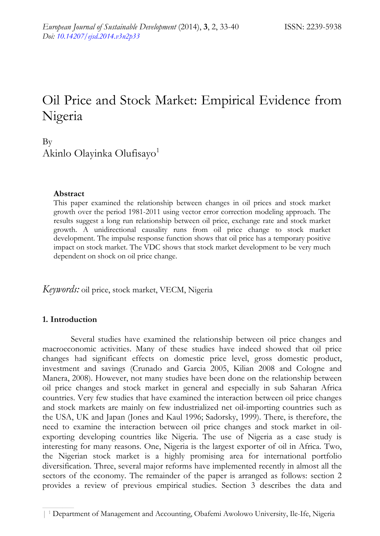# Oil Price and Stock Market: Empirical Evidence from Nigeria

## By Akinlo Olayinka Olufisayo<sup>1</sup>

#### **Abstract**

This paper examined the relationship between changes in oil prices and stock market growth over the period 1981-2011 using vector error correction modeling approach. The results suggest a long run relationship between oil price, exchange rate and stock market growth. A unidirectional causality runs from oil price change to stock market development. The impulse response function shows that oil price has a temporary positive impact on stock market. The VDC shows that stock market development to be very much dependent on shock on oil price change.

*Keywords:* oil price, stock market, VECM, Nigeria

### **1. Introduction**

Several studies have examined the relationship between oil price changes and macroeconomic activities. Many of these studies have indeed showed that oil price changes had significant effects on domestic price level, gross domestic product, investment and savings (Crunado and Garcia 2005, Kilian 2008 and Cologne and Manera, 2008). However, not many studies have been done on the relationship between oil price changes and stock market in general and especially in sub Saharan Africa countries. Very few studies that have examined the interaction between oil price changes and stock markets are mainly on few industrialized net oil-importing countries such as the USA, UK and Japan (Jones and Kaul 1996; Sadorsky, 1999). There, is therefore, the need to examine the interaction between oil price changes and stock market in oilexporting developing countries like Nigeria. The use of Nigeria as a case study is interesting for many reasons. One, Nigeria is the largest exporter of oil in Africa. Two, the Nigerian stock market is a highly promising area for international portfolio diversification. Three, several major reforms have implemented recently in almost all the sectors of the economy. The remainder of the paper is arranged as follows: section 2 provides a review of previous empirical studies. Section 3 describes the data and

<sup>| 1</sup> Department of Management and Accounting, Obafemi Awolowo University, Ile-Ife, Nigeria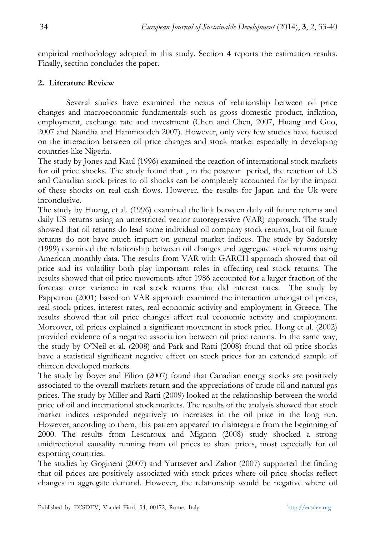empirical methodology adopted in this study. Section 4 reports the estimation results. Finally, section concludes the paper.

## **2. Literature Review**

Several studies have examined the nexus of relationship between oil price changes and macroeconomic fundamentals such as gross domestic product, inflation, employment, exchange rate and investment (Chen and Chen, 2007, Huang and Guo, 2007 and Nandha and Hammoudeh 2007). However, only very few studies have focused on the interaction between oil price changes and stock market especially in developing countries like Nigeria.

The study by Jones and Kaul (1996) examined the reaction of international stock markets for oil price shocks. The study found that , in the postwar period, the reaction of US and Canadian stock prices to oil shocks can be completely accounted for by the impact of these shocks on real cash flows. However, the results for Japan and the Uk were inconclusive.

The study by Huang, et al. (1996) examined the link between daily oil future returns and daily US returns using an unrestricted vector autoregressive (VAR) approach. The study showed that oil returns do lead some individual oil company stock returns, but oil future returns do not have much impact on general market indices. The study by Sadorsky (1999) examined the relationship between oil changes and aggregate stock returns using American monthly data. The results from VAR with GARCH approach showed that oil price and its volatility both play important roles in affecting real stock returns. The results showed that oil price movements after 1986 accounted for a larger fraction of the forecast error variance in real stock returns that did interest rates. The study by Pappetrou (2001) based on VAR approach examined the interaction amongst oil prices, real stock prices, interest rates, real economic activity and employment in Greece. The results showed that oil price changes affect real economic activity and employment. Moreover, oil prices explained a significant movement in stock price. Hong et al. (2002) provided evidence of a negative association between oil price returns. In the same way, the study by O'Neil et al. (2008) and Park and Ratti (2008) found that oil price shocks have a statistical significant negative effect on stock prices for an extended sample of thirteen developed markets.

The study by Boyer and Filion (2007) found that Canadian energy stocks are positively associated to the overall markets return and the appreciations of crude oil and natural gas prices. The study by Miller and Ratti (2009) looked at the relationship between the world price of oil and international stock markets. The results of the analysis showed that stock market indices responded negatively to increases in the oil price in the long run. However, according to them, this pattern appeared to disintegrate from the beginning of 2000. The results from Lescaroux and Mignon (2008) study shocked a strong unidirectional causality running from oil prices to share prices, most especially for oil exporting countries.

The studies by Gogineni (2007) and Yurtsever and Zahor (2007) supported the finding that oil prices are positively associated with stock prices where oil price shocks reflect changes in aggregate demand. However, the relationship would be negative where oil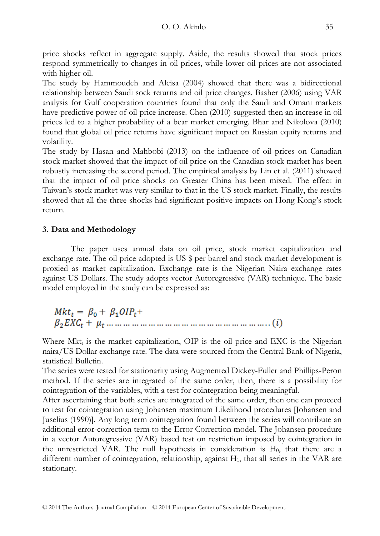price shocks reflect in aggregate supply. Aside, the results showed that stock prices respond symmetrically to changes in oil prices, while lower oil prices are not associated with higher oil.

The study by Hammoudeh and Aleisa (2004) showed that there was a bidirectional relationship between Saudi sock returns and oil price changes. Basher (2006) using VAR analysis for Gulf cooperation countries found that only the Saudi and Omani markets have predictive power of oil price increase. Chen (2010) suggested then an increase in oil prices led to a higher probability of a bear market emerging. Bhar and Nikolova (2010) found that global oil price returns have significant impact on Russian equity returns and volatility.

The study by Hasan and Mahbobi (2013) on the influence of oil prices on Canadian stock market showed that the impact of oil price on the Canadian stock market has been robustly increasing the second period. The empirical analysis by Lin et al. (2011) showed that the impact of oil price shocks on Greater China has been mixed. The effect in Taiwan's stock market was very similar to that in the US stock market. Finally, the results showed that all the three shocks had significant positive impacts on Hong Kong's stock return.

## **3. Data and Methodology**

The paper uses annual data on oil price, stock market capitalization and exchange rate. The oil price adopted is US \$ per barrel and stock market development is proxied as market capitalization. Exchange rate is the Nigerian Naira exchange rates against US Dollars. The study adopts vector Autoregressive (VAR) technique. The basic model employed in the study can be expressed as:

 $Mkt_t = \beta_0 + \beta_1 OIP_t +$ 

Where  $Mkt_t$  is the market capitalization, OIP is the oil price and EXC is the Nigerian naira/US Dollar exchange rate. The data were sourced from the Central Bank of Nigeria, statistical Bulletin.

The series were tested for stationarity using Augmented Dickey-Fuller and Phillips-Peron method. If the series are integrated of the same order, then, there is a possibility for cointegration of the variables, with a test for cointegration being meaningful.

After ascertaining that both series are integrated of the same order, then one can proceed to test for cointegration using Johansen maximum Likelihood procedures [Johansen and Juselius (1990)]. Any long term cointegration found between the series will contribute an additional error-correction term to the Error Correction model. The Johansen procedure in a vector Autoregressive (VAR) based test on restriction imposed by cointegration in the unrestricted VAR. The null hypothesis in consideration is  $H_0$ , that there are a different number of cointegration, relationship, against H<sub>1</sub>, that all series in the VAR are stationary.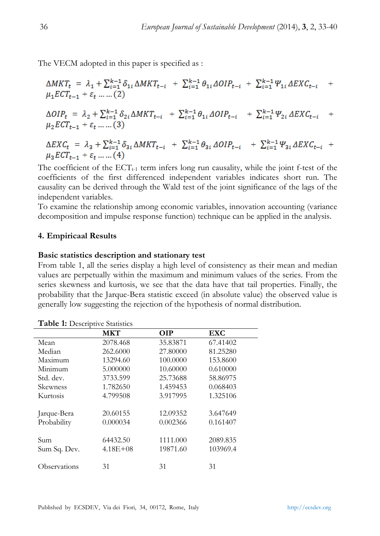The VECM adopted in this paper is specified as :

$$
\Delta MKT_{t} = \lambda_{1} + \sum_{i=1}^{k-1} \delta_{1i} \Delta MKT_{t-i} + \sum_{i=1}^{k-1} \theta_{1i} \Delta OIP_{t-i} + \sum_{i=1}^{k-1} \Psi_{1i} \Delta EXC_{t-i} + \mu_{1} ECT_{t-1} + \varepsilon_{t} \dots \dots (2)
$$
  
\n
$$
\Delta OIP_{t} = \lambda_{2} + \sum_{i=1}^{k-1} \delta_{2i} \Delta MKT_{t-i} + \sum_{i=1}^{k-1} \theta_{1i} \Delta OIP_{t-i} + \sum_{i=1}^{k-1} \Psi_{2i} \Delta EXC_{t-i} + \mu_{2} ECT_{t-1} + \varepsilon_{t} \dots \dots (3)
$$
  
\n
$$
\Delta EXC_{t} = \lambda_{3} + \sum_{i=1}^{k-1} \delta_{3i} \Delta MKT_{t-i} + \sum_{i=1}^{k-1} \theta_{3i} \Delta OIP_{t-i} + \sum_{i=1}^{k-1} \Psi_{3i} \Delta EXC_{t-i} + \mu_{3} ECT_{t-1} + \varepsilon_{t} \dots \dots (4)
$$

The coefficient of the  $ECT_{t-1}$  term infers long run causality, while the joint f-test of the coefficients of the first differenced independent variables indicates short run. The causality can be derived through the Wald test of the joint significance of the lags of the independent variables.

To examine the relationship among economic variables, innovation accounting (variance decomposition and impulse response function) technique can be applied in the analysis.

#### **4. Empiricaal Results**

#### **Basic statistics description and stationary test**

From table 1, all the series display a high level of consistency as their mean and median values are perpetually within the maximum and minimum values of the series. From the series skewness and kurtosis, we see that the data have that tail properties. Finally, the probability that the Jarque-Bera statistic exceed (in absolute value) the observed value is generally low suggesting the rejection of the hypothesis of normal distribution.

|                     | <b>MKT</b>   | <b>OIP</b> | EXC      |  |
|---------------------|--------------|------------|----------|--|
| Mean                | 2078.468     | 35.83871   | 67.41402 |  |
| Median              | 262.6000     | 27.80000   | 81.25280 |  |
| Maximum             | 13294.60     | 100,0000   | 153.8600 |  |
| Minimum             | 5.000000     | 10.60000   | 0.610000 |  |
| Std. dev.           | 3733.599     | 25.73688   | 58.86975 |  |
| Skewness            | 1.782650     | 1.459453   | 0.068403 |  |
| Kurtosis            | 4.799508     | 3.917995   | 1.325106 |  |
|                     |              |            |          |  |
| Jarque-Bera         | 20.60155     | 12.09352   | 3.647649 |  |
| Probability         | 0.000034     | 0.002366   | 0.161407 |  |
|                     |              |            |          |  |
| Sum                 | 64432.50     | 1111.000   | 2089.835 |  |
| Sum Sq. Dev.        | $4.18E + 08$ | 19871.60   | 103969.4 |  |
|                     |              |            |          |  |
| <b>Observations</b> | 31           | 31         | 31       |  |

**Table 1:** Descriptive Statistics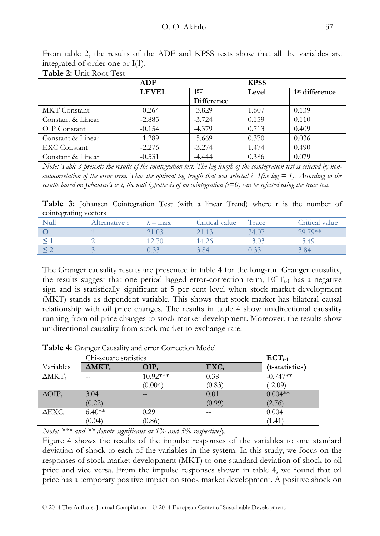|                     | <b>ADF</b>   |                   | <b>KPSS</b> |                            |
|---------------------|--------------|-------------------|-------------|----------------------------|
|                     | <b>LEVEL</b> | 1 <sub>1</sub> ST | Level       | 1 <sup>st</sup> difference |
|                     |              | Difference        |             |                            |
| <b>MKT</b> Constant | $-0.264$     | $-3.829$          | 1.607       | 0.139                      |
| Constant & Linear   | $-2.885$     | $-3.724$          | 0.159       | 0.110                      |
| OIP Constant        | $-0.154$     | $-4.379$          | 0.713       | 0.409                      |
| Constant & Linear   | $-1.289$     | $-5.669$          | 0.370       | 0.036                      |
| <b>EXC</b> Constant | $-2.276$     | $-3.274$          | 1.474       | 0.490                      |
| Constant & Linear   | $-0.531$     | $-4.444$          | 0.386       | 0.079                      |

From table 2, the results of the ADF and KPSS tests show that all the variables are integrated of order one or I(1).

**Table 2:** Unit Root Test

*Note: Table 3 presents the results of the cointegration test. The lag length of the cointegration test is selected by nonautocorrelation of the error term. Thus the optimal lag length that was selected is*  $1(i.e \text{ lag} = 1)$ *. According to the results based on Johansen's test, the null hypothesis of no cointegration (r=0) can be rejected using the trace test.*

**Table 3:** Johansen Cointegration Test (with a linear Trend) where r is the number of cointegrating vectors

| $\cdot$<br>Null | Alternative r | $\lambda$ – max | Critical value | Trace | Critical value |
|-----------------|---------------|-----------------|----------------|-------|----------------|
|                 |               | 21.03           | 21.13          | 34.07 | 29.79**        |
|                 |               |                 | 14.26          | 13.03 | 15.49          |
|                 |               | 0.33            | 3.84           | 0.33  | 3.84           |

The Granger causality results are presented in table 4 for the long-run Granger causality, the results suggest that one period lagged error-correction term,  $\text{ECT}_{t-1}$  has a negative sign and is statistically significant at 5 per cent level when stock market development (MKT) stands as dependent variable. This shows that stock market has bilateral causal relationship with oil price changes. The results in table 4 show unidirectional causality running from oil price changes to stock market development. Moreover, the results show unidirectional causality from stock market to exchange rate.

|                           | $\sim$<br>Chi-square statistics | $\text{ECT}_{t-1}$ |                    |                |
|---------------------------|---------------------------------|--------------------|--------------------|----------------|
| Variables                 | $\Delta$ MKT <sub>t</sub>       | $OIP_t$            | $\mathbf{EXC}_{t}$ | (t-statistics) |
| $\Delta$ MKT <sub>t</sub> | --                              | $10.92***$         | 0.38               | $-0.747**$     |
|                           |                                 | (0.004)            | (0.83)             | $(-2.09)$      |
| $\Delta OIP_t$            | 3.04                            | $- -$              | 0.01               | $0.004**$      |
|                           | (0.22)                          |                    | (0.99)             | (2.76)         |
| $\Delta$ EXC <sub>t</sub> | $6.40**$                        | 0.29               |                    | 0.004          |
|                           | (0.04)                          | (0.86)             |                    | (1.41)         |

**Table 4:** Granger Causality and error Correction Model

*Note: \*\*\* and \*\* denote significant at 1% and 5% respectively.* 

Figure 4 shows the results of the impulse responses of the variables to one standard deviation of shock to each of the variables in the system. In this study, we focus on the responses of stock market development (MKT) to one standard deviation of shock to oil price and vice versa. From the impulse responses shown in table 4, we found that oil price has a temporary positive impact on stock market development. A positive shock on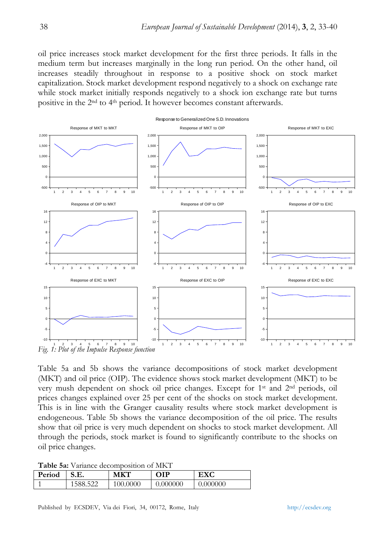oil price increases stock market development for the first three periods. It falls in the medium term but increases marginally in the long run period. On the other hand, oil increases steadily throughout in response to a positive shock on stock market capitalization. Stock market development respond negatively to a shock on exchange rate while stock market initially responds negatively to a shock ion exchange rate but turns positive in the 2nd to 4th period. It however becomes constant afterwards.



Table 5a and 5b shows the variance decompositions of stock market development (MKT) and oil price (OIP). The evidence shows stock market development (MKT) to be very mush dependent on shock oil price changes. Except for 1st and 2nd periods, oil prices changes explained over 25 per cent of the shocks on stock market development. This is in line with the Granger causality results where stock market development is endogeneous. Table 5b shows the variance decomposition of the oil price. The results show that oil price is very much dependent on shocks to stock market development. All through the periods, stock market is found to significantly contribute to the shocks on oil price changes.

**Table 5a:** Variance decomposition of MKT

| Period |         | мкт      | <b>OIP</b> | <b>EXC</b> |
|--------|---------|----------|------------|------------|
|        | 588.522 | 100.0000 | 0.000000   | 0.000000   |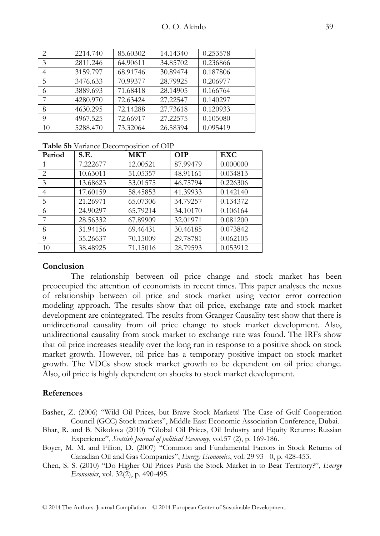| 2  | 2214.740 | 85.60302 | 14.14340 | 0.253578 |
|----|----------|----------|----------|----------|
| 3  | 2811.246 | 64.90611 | 34.85702 | 0.236866 |
| 4  | 3159.797 | 68.91746 | 30.89474 | 0.187806 |
| 5  | 3476.633 | 70.99377 | 28.79925 | 0.206977 |
| 6  | 3889.693 | 71.68418 | 28.14905 | 0.166764 |
| 7  | 4280.970 | 72.63424 | 27.22547 | 0.140297 |
| 8  | 4630.295 | 72.14288 | 27.73618 | 0.120933 |
| 9  | 4967.525 | 72.66917 | 27.22575 | 0.105080 |
| 10 | 5288.470 | 73.32064 | 26.58394 | 0.095419 |

**Table 5b** Variance Decomposition of OIP

| Period         | S.E.     | <b>MKT</b> | <b>OIP</b> | <b>EXC</b> |
|----------------|----------|------------|------------|------------|
|                | 7.222677 | 12.00521   | 87.99479   | 0.000000   |
| $\overline{2}$ | 10.63011 | 51.05357   | 48.91161   | 0.034813   |
| 3              | 13.68623 | 53.01575   | 46.75794   | 0.226306   |
| 4              | 17.60159 | 58.45853   | 41.39933   | 0.142140   |
| 5              | 21.26971 | 65.07306   | 34.79257   | 0.134372   |
| 6              | 24.90297 | 65.79214   | 34.10170   | 0.106164   |
|                | 28.56332 | 67.89909   | 32.01971   | 0.081200   |
| 8              | 31.94156 | 69.46431   | 30.46185   | 0.073842   |
| 9              | 35.26637 | 70.15009   | 29.78781   | 0.062105   |
| 10             | 38.48925 | 71.15016   | 28.79593   | 0.053912   |

#### **Conclusion**

The relationship between oil price change and stock market has been preoccupied the attention of economists in recent times. This paper analyses the nexus of relationship between oil price and stock market using vector error correction modeling approach. The results show that oil price, exchange rate and stock market development are cointegrated. The results from Granger Causality test show that there is unidirectional causality from oil price change to stock market development. Also, unidirectional causality from stock market to exchange rate was found. The IRFs show that oil price increases steadily over the long run in response to a positive shock on stock market growth. However, oil price has a temporary positive impact on stock market growth. The VDCs show stock market growth to be dependent on oil price change. Also, oil price is highly dependent on shocks to stock market development.

#### **References**

- Basher, Z. (2006) "Wild Oil Prices, but Brave Stock Markets! The Case of Gulf Cooperation Council (GCC) Stock markets", Middle East Economic Association Conference, Dubai.
- Bhar, R. and B. Nikolova (2010) "Global Oil Prices, Oil Industry and Equity Returns: Russian Experience", *Scottish Journal of political Economy*, vol.57 (2), p. 169-186.
- Boyer, M. M. and Filion, D. (2007) "Common and Fundamental Factors in Stock Returns of Canadian Oil and Gas Companies", *Energy Economics*, vol. 29 93 0, p. 428-453.

Chen, S. S. (2010) "Do Higher Oil Prices Push the Stock Market in to Bear Territory?", *Energy Economics*, vol. 32(2), p. 490-495.